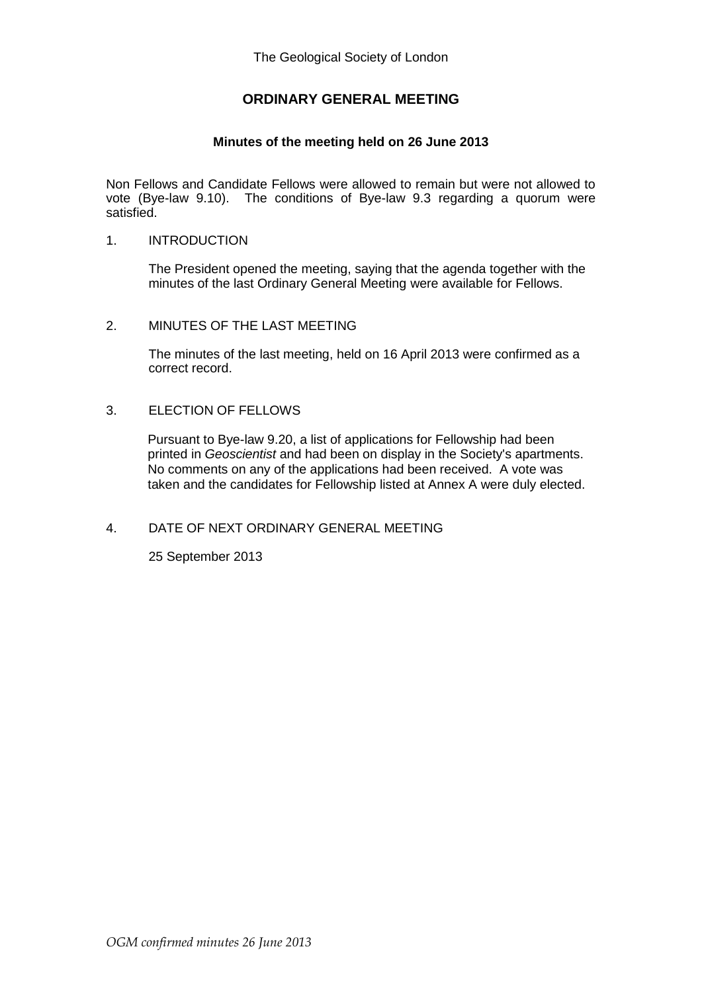# **ORDINARY GENERAL MEETING**

### **Minutes of the meeting held on 26 June 2013**

Non Fellows and Candidate Fellows were allowed to remain but were not allowed to vote (Bye-law 9.10). The conditions of Bye-law 9.3 regarding a quorum were satisfied.

#### 1. INTRODUCTION

The President opened the meeting, saying that the agenda together with the minutes of the last Ordinary General Meeting were available for Fellows.

#### 2. MINUTES OF THE LAST MEETING

The minutes of the last meeting, held on 16 April 2013 were confirmed as a correct record.

#### 3. ELECTION OF FELLOWS

Pursuant to Bye-law 9.20, a list of applications for Fellowship had been printed in *Geoscientist* and had been on display in the Society's apartments. No comments on any of the applications had been received. A vote was taken and the candidates for Fellowship listed at Annex A were duly elected.

## 4. DATE OF NEXT ORDINARY GENERAL MEETING

25 September 2013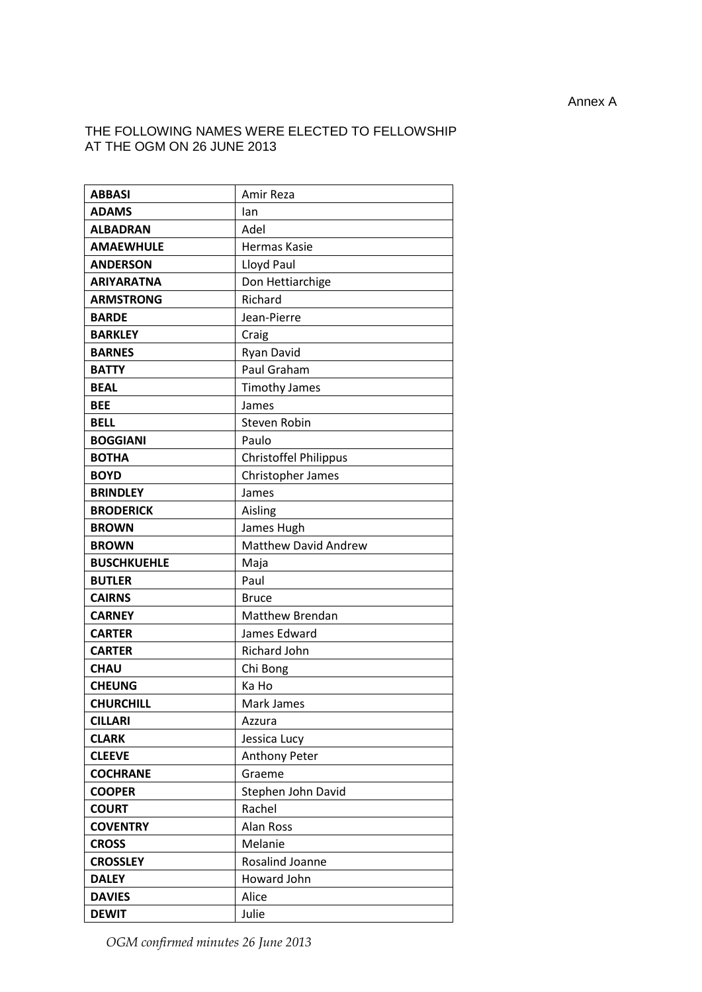## THE FOLLOWING NAMES WERE ELECTED TO FELLOWSHIP AT THE OGM ON 26 JUNE 2013

| <b>ABBASI</b>      | Amir Reza                    |
|--------------------|------------------------------|
| <b>ADAMS</b>       | lan                          |
| <b>ALBADRAN</b>    | Adel                         |
| <b>AMAEWHULE</b>   | Hermas Kasie                 |
| <b>ANDERSON</b>    | Lloyd Paul                   |
| <b>ARIYARATNA</b>  | Don Hettiarchige             |
| <b>ARMSTRONG</b>   | Richard                      |
| <b>BARDE</b>       | Jean-Pierre                  |
| <b>BARKLEY</b>     | Craig                        |
| <b>BARNES</b>      | Ryan David                   |
| <b>BATTY</b>       | Paul Graham                  |
| <b>BEAL</b>        | <b>Timothy James</b>         |
| <b>BEE</b>         | James                        |
| <b>BELL</b>        | <b>Steven Robin</b>          |
| <b>BOGGIANI</b>    | Paulo                        |
| <b>BOTHA</b>       | <b>Christoffel Philippus</b> |
| <b>BOYD</b>        | Christopher James            |
| <b>BRINDLEY</b>    | James                        |
| <b>BRODERICK</b>   | Aisling                      |
| <b>BROWN</b>       | James Hugh                   |
| <b>BROWN</b>       | <b>Matthew David Andrew</b>  |
| <b>BUSCHKUEHLE</b> | Maja                         |
| <b>BUTLER</b>      | Paul                         |
| <b>CAIRNS</b>      | <b>Bruce</b>                 |
| <b>CARNEY</b>      | <b>Matthew Brendan</b>       |
| <b>CARTER</b>      | James Edward                 |
| <b>CARTER</b>      | Richard John                 |
| <b>CHAU</b>        | Chi Bong                     |
| <b>CHEUNG</b>      | Ka Ho                        |
| <b>CHURCHILL</b>   | Mark James                   |
| <b>CILLARI</b>     | Azzura                       |
| <b>CLARK</b>       | Jessica Lucy                 |
| <b>CLEEVE</b>      | <b>Anthony Peter</b>         |
| <b>COCHRANE</b>    | Graeme                       |
| <b>COOPER</b>      | Stephen John David           |
| <b>COURT</b>       | Rachel                       |
| <b>COVENTRY</b>    | <b>Alan Ross</b>             |
| <b>CROSS</b>       | Melanie                      |
| <b>CROSSLEY</b>    | Rosalind Joanne              |
| <b>DALEY</b>       | Howard John                  |
| <b>DAVIES</b>      | Alice                        |
| <b>DEWIT</b>       | Julie                        |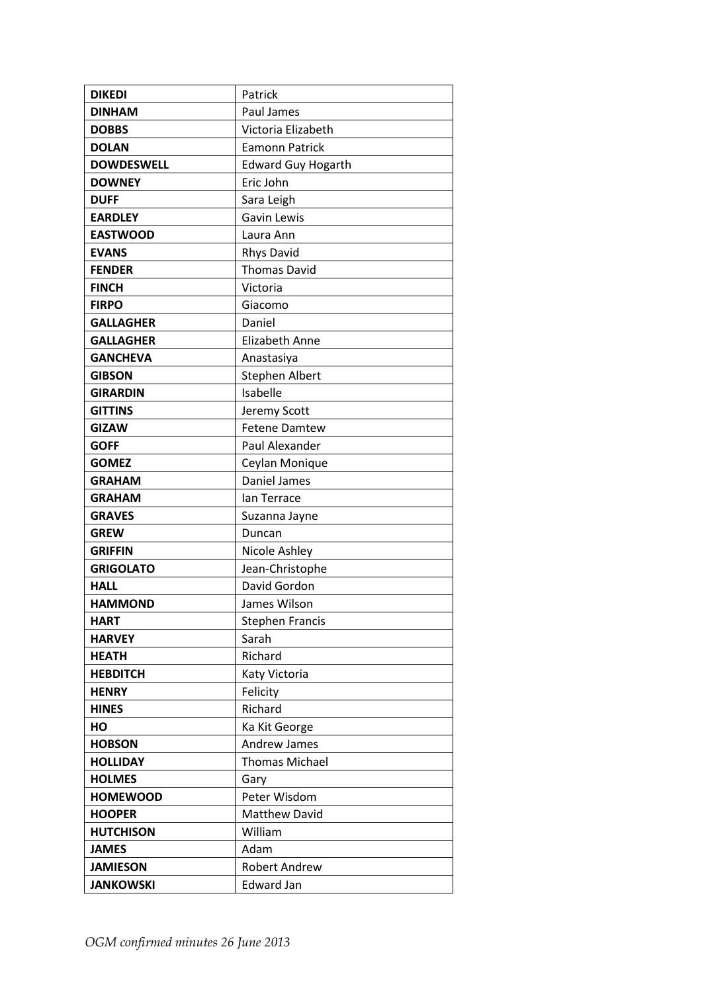| <b>DIKEDI</b>     | Patrick                   |
|-------------------|---------------------------|
| <b>DINHAM</b>     | Paul James                |
| <b>DOBBS</b>      | Victoria Elizabeth        |
| <b>DOLAN</b>      | <b>Eamonn Patrick</b>     |
| <b>DOWDESWELL</b> | <b>Edward Guy Hogarth</b> |
| <b>DOWNEY</b>     | Eric John                 |
| <b>DUFF</b>       | Sara Leigh                |
| <b>EARDLEY</b>    | Gavin Lewis               |
| <b>EASTWOOD</b>   | Laura Ann                 |
| <b>EVANS</b>      | Rhys David                |
| <b>FENDER</b>     | <b>Thomas David</b>       |
| <b>FINCH</b>      | Victoria                  |
| <b>FIRPO</b>      | Giacomo                   |
| <b>GALLAGHER</b>  | Daniel                    |
| <b>GALLAGHER</b>  | <b>Elizabeth Anne</b>     |
| <b>GANCHEVA</b>   | Anastasiya                |
| <b>GIBSON</b>     | Stephen Albert            |
| <b>GIRARDIN</b>   | Isabelle                  |
| <b>GITTINS</b>    | Jeremy Scott              |
| <b>GIZAW</b>      | <b>Fetene Damtew</b>      |
| <b>GOFF</b>       | Paul Alexander            |
| <b>GOMEZ</b>      | Ceylan Monique            |
| <b>GRAHAM</b>     | Daniel James              |
| <b>GRAHAM</b>     | lan Terrace               |
| <b>GRAVES</b>     | Suzanna Jayne             |
| <b>GREW</b>       | Duncan                    |
| <b>GRIFFIN</b>    | Nicole Ashley             |
| <b>GRIGOLATO</b>  | Jean-Christophe           |
| <b>HALL</b>       | David Gordon              |
| <b>HAMMOND</b>    | James Wilson              |
| <b>HART</b>       | <b>Stephen Francis</b>    |
| <b>HARVEY</b>     | Sarah                     |
| <b>HEATH</b>      | Richard                   |
| <b>HEBDITCH</b>   | Katy Victoria             |
| <b>HENRY</b>      | Felicity                  |
| <b>HINES</b>      | Richard                   |
| HO                | Ka Kit George             |
| <b>HOBSON</b>     | Andrew James              |
| <b>HOLLIDAY</b>   | <b>Thomas Michael</b>     |
| <b>HOLMES</b>     | Gary                      |
| <b>HOMEWOOD</b>   | Peter Wisdom              |
| <b>HOOPER</b>     | <b>Matthew David</b>      |
| <b>HUTCHISON</b>  | William                   |
| <b>JAMES</b>      | Adam                      |
| <b>JAMIESON</b>   | <b>Robert Andrew</b>      |
| <b>JANKOWSKI</b>  | <b>Edward Jan</b>         |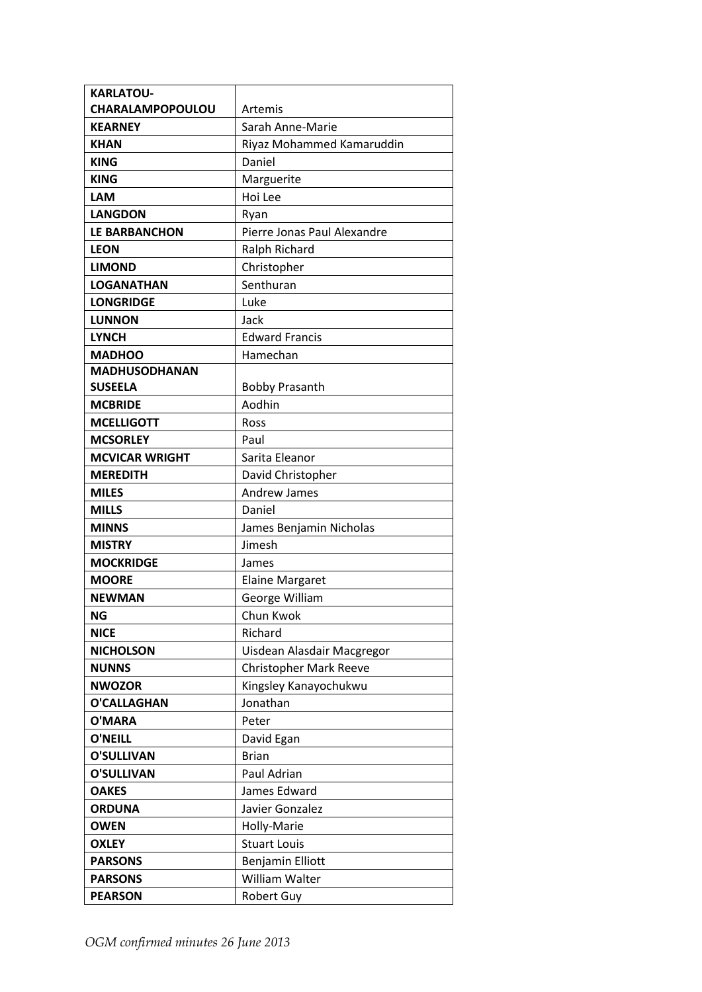| <b>KARLATOU-</b>        |                               |
|-------------------------|-------------------------------|
| <b>CHARALAMPOPOULOU</b> | Artemis                       |
| <b>KEARNEY</b>          | Sarah Anne-Marie              |
| <b>KHAN</b>             | Riyaz Mohammed Kamaruddin     |
| <b>KING</b>             | Daniel                        |
| <b>KING</b>             | Marguerite                    |
| <b>LAM</b>              | Hoi Lee                       |
| <b>LANGDON</b>          | Ryan                          |
| <b>LE BARBANCHON</b>    | Pierre Jonas Paul Alexandre   |
| <b>LEON</b>             | Ralph Richard                 |
| <b>LIMOND</b>           | Christopher                   |
| <b>LOGANATHAN</b>       | Senthuran                     |
| <b>LONGRIDGE</b>        | Luke                          |
| <b>LUNNON</b>           | Jack                          |
| <b>LYNCH</b>            | <b>Edward Francis</b>         |
| <b>MADHOO</b>           | Hamechan                      |
| <b>MADHUSODHANAN</b>    |                               |
| <b>SUSEELA</b>          | <b>Bobby Prasanth</b>         |
| <b>MCBRIDE</b>          | Aodhin                        |
| <b>MCELLIGOTT</b>       | <b>Ross</b>                   |
| <b>MCSORLEY</b>         | Paul                          |
| <b>MCVICAR WRIGHT</b>   | Sarita Eleanor                |
| <b>MEREDITH</b>         | David Christopher             |
| <b>MILES</b>            | <b>Andrew James</b>           |
| <b>MILLS</b>            | Daniel                        |
| <b>MINNS</b>            | James Benjamin Nicholas       |
| <b>MISTRY</b>           | Jimesh                        |
| <b>MOCKRIDGE</b>        | James                         |
| <b>MOORE</b>            | <b>Elaine Margaret</b>        |
| <b>NEWMAN</b>           | George William                |
| ΝG                      | Chun Kwok                     |
| <b>NICE</b>             | Richard                       |
| <b>NICHOLSON</b>        | Uisdean Alasdair Macgregor    |
| <b>NUNNS</b>            | <b>Christopher Mark Reeve</b> |
| <b>NWOZOR</b>           | Kingsley Kanayochukwu         |
| <b>O'CALLAGHAN</b>      | Jonathan                      |
| O'MARA                  | Peter                         |
| <b>O'NEILL</b>          | David Egan                    |
| <b>O'SULLIVAN</b>       | <b>Brian</b>                  |
| <b>O'SULLIVAN</b>       | Paul Adrian                   |
| <b>OAKES</b>            | James Edward                  |
| <b>ORDUNA</b>           | Javier Gonzalez               |
| <b>OWEN</b>             | Holly-Marie                   |
| <b>OXLEY</b>            | <b>Stuart Louis</b>           |
| <b>PARSONS</b>          | Benjamin Elliott              |
| <b>PARSONS</b>          | William Walter                |
| <b>PEARSON</b>          | Robert Guy                    |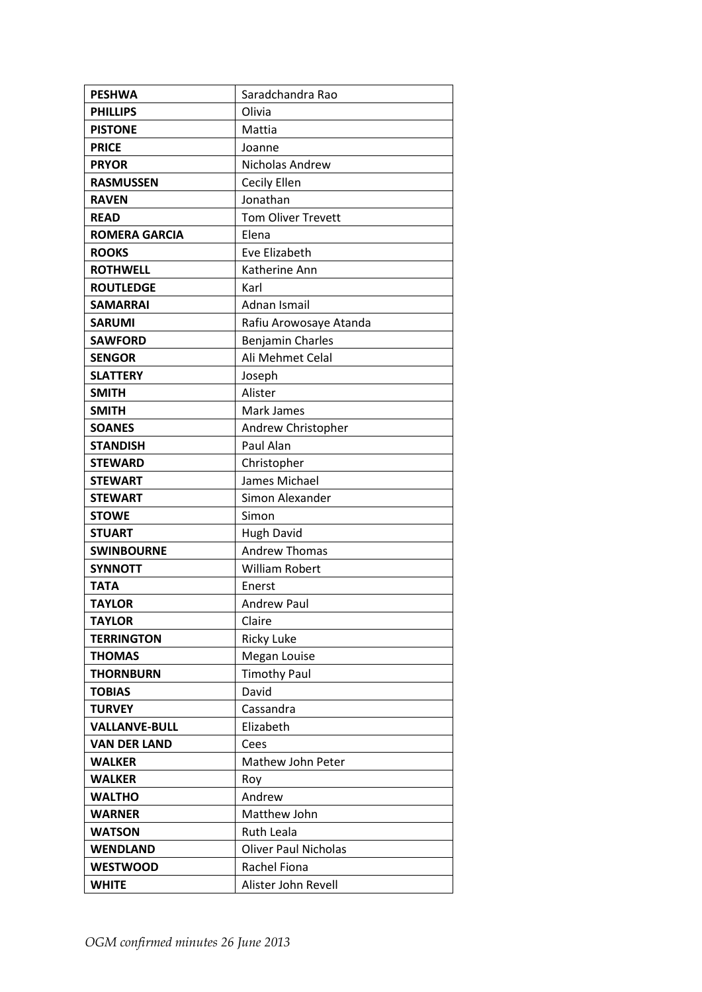| <b>PESHWA</b>        | Saradchandra Rao            |
|----------------------|-----------------------------|
| <b>PHILLIPS</b>      | Olivia                      |
| <b>PISTONE</b>       | Mattia                      |
| <b>PRICE</b>         | Joanne                      |
| <b>PRYOR</b>         | Nicholas Andrew             |
| <b>RASMUSSEN</b>     | Cecily Ellen                |
| <b>RAVEN</b>         | Jonathan                    |
| <b>READ</b>          | Tom Oliver Trevett          |
| <b>ROMERA GARCIA</b> | Elena                       |
| <b>ROOKS</b>         | Eve Elizabeth               |
| <b>ROTHWELL</b>      | Katherine Ann               |
| <b>ROUTLEDGE</b>     | Karl                        |
| <b>SAMARRAI</b>      | Adnan Ismail                |
| <b>SARUMI</b>        | Rafiu Arowosaye Atanda      |
| <b>SAWFORD</b>       | <b>Benjamin Charles</b>     |
| <b>SENGOR</b>        | Ali Mehmet Celal            |
| <b>SLATTERY</b>      | Joseph                      |
| <b>SMITH</b>         | Alister                     |
| <b>SMITH</b>         | Mark James                  |
| <b>SOANES</b>        | Andrew Christopher          |
| <b>STANDISH</b>      | Paul Alan                   |
| <b>STEWARD</b>       | Christopher                 |
| <b>STEWART</b>       | James Michael               |
| <b>STEWART</b>       | Simon Alexander             |
| <b>STOWE</b>         | Simon                       |
| <b>STUART</b>        | <b>Hugh David</b>           |
| <b>SWINBOURNE</b>    | <b>Andrew Thomas</b>        |
| <b>SYNNOTT</b>       | <b>William Robert</b>       |
| <b>TATA</b>          | Enerst                      |
| <b>TAYLOR</b>        | <b>Andrew Paul</b>          |
| <b>TAYLOR</b>        | Claire                      |
| <b>TERRINGTON</b>    | <b>Ricky Luke</b>           |
| <b>THOMAS</b>        | Megan Louise                |
| <b>THORNBURN</b>     | <b>Timothy Paul</b>         |
| <b>TOBIAS</b>        | David                       |
| <b>TURVEY</b>        | Cassandra                   |
| <b>VALLANVE-BULL</b> | Elizabeth                   |
| <b>VAN DER LAND</b>  | Cees                        |
| <b>WALKER</b>        | Mathew John Peter           |
| <b>WALKER</b>        | Roy                         |
| <b>WALTHO</b>        | Andrew                      |
| <b>WARNER</b>        | Matthew John                |
| <b>WATSON</b>        | <b>Ruth Leala</b>           |
| <b>WENDLAND</b>      | <b>Oliver Paul Nicholas</b> |
| <b>WESTWOOD</b>      | Rachel Fiona                |
| WHITE                | Alister John Revell         |